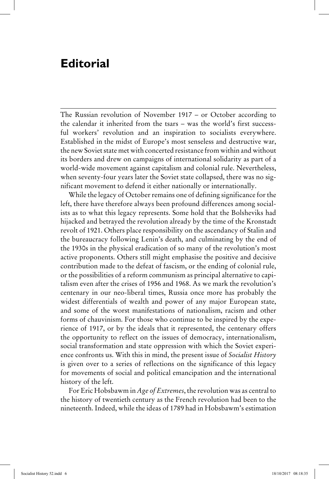## **Editorial**

The Russian revolution of November 1917 – or October according to the calendar it inherited from the tsars – was the world's first successful workers' revolution and an inspiration to socialists everywhere. Established in the midst of Europe's most senseless and destructive war, the new Soviet state met with concerted resistance from within and without its borders and drew on campaigns of international solidarity as part of a world-wide movement against capitalism and colonial rule. Nevertheless, when seventy-four years later the Soviet state collapsed, there was no significant movement to defend it either nationally or internationally.

While the legacy of October remains one of defining significance for the left, there have therefore always been profound differences among socialists as to what this legacy represents. Some hold that the Bolsheviks had hijacked and betrayed the revolution already by the time of the Kronstadt revolt of 1921. Others place responsibility on the ascendancy of Stalin and the bureaucracy following Lenin's death, and culminating by the end of the 1930s in the physical eradication of so many of the revolution's most active proponents. Others still might emphasise the positive and decisive contribution made to the defeat of fascism, or the ending of colonial rule, or the possibilities of a reform communism as principal alternative to capitalism even after the crises of 1956 and 1968. As we mark the revolution's centenary in our neo-liberal times, Russia once more has probably the widest differentials of wealth and power of any major European state, and some of the worst manifestations of nationalism, racism and other forms of chauvinism. For those who continue to be inspired by the experience of 1917, or by the ideals that it represented, the centenary offers the opportunity to reflect on the issues of democracy, internationalism, social transformation and state oppression with which the Soviet experience confronts us. With this in mind, the present issue of *Socialist History* is given over to a series of reflections on the significance of this legacy for movements of social and political emancipation and the international history of the left.

For Eric Hobsbawm in *Age of Extremes*, the revolution was as central to the history of twentieth century as the French revolution had been to the nineteenth. Indeed, while the ideas of 1789 had in Hobsbawm's estimation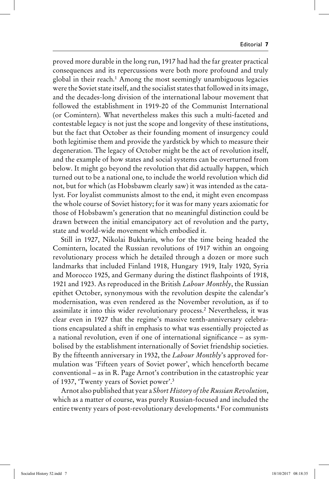proved more durable in the long run, 1917 had had the far greater practical consequences and its repercussions were both more profound and truly global in their reach.1 Among the most seemingly unambiguous legacies were the Soviet state itself, and the socialist states that followed in its image, and the decades-long division of the international labour movement that followed the establishment in 1919-20 of the Communist International (or Comintern). What nevertheless makes this such a multi-faceted and contestable legacy is not just the scope and longevity of these institutions, but the fact that October as their founding moment of insurgency could both legitimise them and provide the yardstick by which to measure their degeneration. The legacy of October might be the act of revolution itself, and the example of how states and social systems can be overturned from below. It might go beyond the revolution that did actually happen, which turned out to be a national one, to include the world revolution which did not, but for which (as Hobsbawm clearly saw) it was intended as the catalyst. For loyalist communists almost to the end, it might even encompass the whole course of Soviet history; for it was for many years axiomatic for those of Hobsbawm's generation that no meaningful distinction could be drawn between the initial emancipatory act of revolution and the party, state and world-wide movement which embodied it.

Still in 1927, Nikolai Bukharin, who for the time being headed the Comintern, located the Russian revolutions of 1917 within an ongoing revolutionary process which he detailed through a dozen or more such landmarks that included Finland 1918, Hungary 1919, Italy 1920, Syria and Morocco 1925, and Germany during the distinct flashpoints of 1918, 1921 and 1923. As reproduced in the British *Labour Monthly*, the Russian epithet October, synonymous with the revolution despite the calendar's modernisation, was even rendered as the November revolution, as if to assimilate it into this wider revolutionary process.2 Nevertheless, it was clear even in 1927 that the regime's massive tenth-anniversary celebrations encapsulated a shift in emphasis to what was essentially projected as a national revolution, even if one of international significance – as symbolised by the establishment internationally of Soviet friendship societies. By the fifteenth anniversary in 1932, the *Labour Monthly*'s approved formulation was 'Fifteen years of Soviet power', which henceforth became conventional – as in R. Page Arnot's contribution in the catastrophic year of 1937, 'Twenty years of Soviet power'.3

Arnot also published that year a *Short History of the Russian Revolution*, which as a matter of course, was purely Russian-focused and included the entire twenty years of post-revolutionary developments.<sup>4</sup> For communists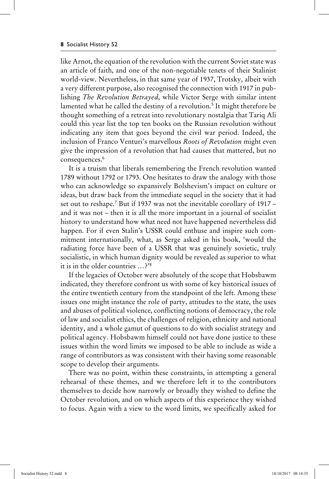like Arnot, the equation of the revolution with the current Soviet state was an article of faith, and one of the non-negotiable tenets of their Stalinist world-view. Nevertheless, in that same year of 1937, Trotsky, albeit with a very different purpose, also recognised the connection with 1917 in publishing *The Revolution Betrayed*, while Victor Serge with similar intent lamented what he called the destiny of a revolution.<sup>5</sup> It might therefore be thought something of a retreat into revolutionary nostalgia that Tariq Ali could this year list the top ten books on the Russian revolution without indicating any item that goes beyond the civil war period. Indeed, the inclusion of Franco Venturi's marvellous *Roots of Revolution* might even give the impression of a revolution that had causes that mattered, but no consequences.<sup>6</sup>

It is a truism that liberals remembering the French revolution wanted 1789 without 1792 or 1793. One hesitates to draw the analogy with those who can acknowledge so expansively Bolshevism's impact on culture or ideas, but draw back from the immediate sequel in the society that it had set out to reshape.<sup>7</sup> But if 1937 was not the inevitable corollary of 1917 – and it was not – then it is all the more important in a journal of socialist history to understand how what need not have happened nevertheless did happen. For if even Stalin's USSR could enthuse and inspire such commitment internationally, what, as Serge asked in his book, 'would the radiating force have been of a USSR that was genuinely sovietic, truly socialistic, in which human dignity would be revealed as superior to what it is in the older countries …?'8

If the legacies of October were absolutely of the scope that Hobsbawm indicated, they therefore confront us with some of key historical issues of the entire twentieth century from the standpoint of the left. Among these issues one might instance the role of party, attitudes to the state, the uses and abuses of political violence, conflicting notions of democracy, the role of law and socialist ethics, the challenges of religion, ethnicity and national identity, and a whole gamut of questions to do with socialist strategy and political agency. Hobsbawm himself could not have done justice to these issues within the word limits we imposed to be able to include as wide a range of contributors as was consistent with their having some reasonable scope to develop their arguments.

There was no point, within these constraints, in attempting a general rehearsal of these themes, and we therefore left it to the contributors themselves to decide how narrowly or broadly they wished to define the October revolution, and on which aspects of this experience they wished to focus. Again with a view to the word limits, we specifically asked for